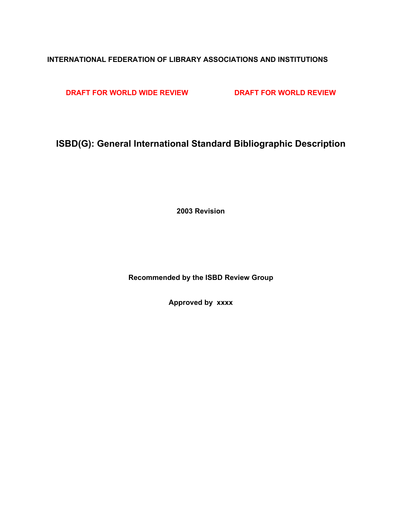# **INTERNATIONAL FEDERATION OF LIBRARY ASSOCIATIONS AND INSTITUTIONS**

**DRAFT FOR WORLD WIDE REVIEW DRAFT FOR WORLD REVIEW** 

**ISBD(G): General International Standard Bibliographic Description**

**2003 Revision**

**Recommended by the ISBD Review Group** 

**Approved by xxxx**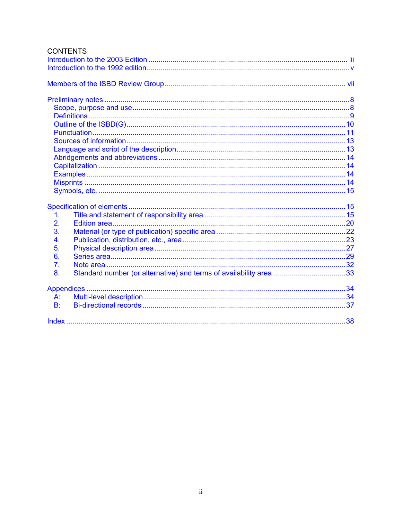|                | <b>CONTENTS</b> |  |
|----------------|-----------------|--|
|                |                 |  |
|                |                 |  |
|                |                 |  |
|                |                 |  |
|                |                 |  |
|                |                 |  |
|                |                 |  |
|                |                 |  |
|                |                 |  |
|                |                 |  |
|                |                 |  |
|                |                 |  |
|                |                 |  |
|                |                 |  |
|                |                 |  |
|                |                 |  |
|                |                 |  |
|                |                 |  |
| 1.             |                 |  |
| 2.             |                 |  |
| 3.             |                 |  |
| 4.             |                 |  |
| 5.             |                 |  |
| 6.             |                 |  |
| 7 <sub>1</sub> |                 |  |
| 8.             |                 |  |
|                |                 |  |
|                |                 |  |
| A:             |                 |  |
| B:             |                 |  |
|                |                 |  |
|                |                 |  |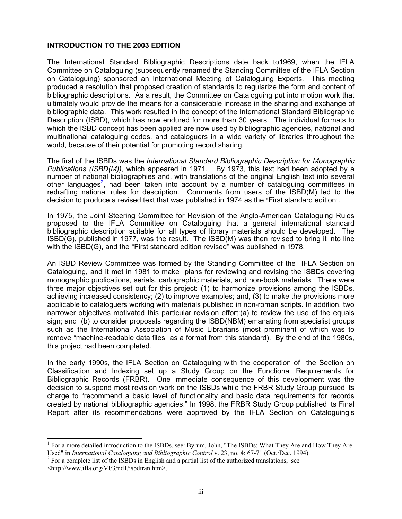# <span id="page-2-3"></span><span id="page-2-0"></span>**INTRODUCTION TO THE 2003 EDITION**

The International Standard Bibliographic Descriptions date back to1969, when the IFLA Committee on Cataloguing (subsequently renamed the Standing Committee of the IFLA Section on Cataloguing) sponsored an International Meeting of Cataloguing Experts. This meeting produced a resolution that proposed creation of standards to regularize the form and content of bibliographic descriptions. As a result, the Committee on Cataloguing put into motion work that ultimately would provide the means for a considerable increase in the sharing and exchange of bibliographic data. This work resulted in the concept of the International Standard Bibliographic Description (ISBD), which has now endured for more than 30 years. The individual formats to which the ISBD concept has been applied are now used by bibliographic agencies, national and multinational cataloguing codes, and cataloguers in a wide variety of libraries throughout the world, because of their potential for promoting record sharing.<sup>[1](#page-2-1)</sup>

The first of the ISBDs was the *International Standard Bibliographic Description for Monographic Publications (ISBD(M)),* which appeared in 1971. By 1973, this text had been adopted by a number of national bibliographies and, with translations of the original English text into several other languages<sup>2</sup>[,](#page-2-2) had been taken into account by a number of cataloguing committees in redrafting national rules for description. Comments from users of the ISBD(M) led to the decision to produce a revised text that was published in 1974 as the "First standard edition".

In 1975, the Joint Steering Committee for Revision of the Anglo-American Cataloguing Rules proposed to the IFLA Committee on Cataloguing that a general international standard bibliographic description suitable for all types of library materials should be developed. The  $\mathsf{IBBD}(\mathsf{G})$ , published in 1977, was the result. The  $\mathsf{IBBD}(\mathsf{M})$  was then revised to bring it into line with the ISBD(G), and the "First standard edition revised" was published in 1978.

An ISBD Review Committee was formed by the Standing Committee of the IFLA Section on Cataloguing, and it met in 1981 to make plans for reviewing and revising the ISBDs covering monographic publications, serials, cartographic materials, and non-book materials. There were three major objectives set out for this project: (1) to harmonize provisions among the ISBDs, achieving increased consistency; (2) to improve examples; and, (3) to make the provisions more applicable to cataloguers working with materials published in non-roman scripts. In addition, two narrower objectives motivated this particular revision effort:(a) to review the use of the equals sign; and (b) to consider proposals regarding the ISBD(NBM) emanating from specialist groups such as the International Association of Music Librarians (most prominent of which was to remove "machine-readable data files" as a format from this standard). By the end of the 1980s, this project had been completed.

In the early 1990s, the IFLA Section on Cataloguing with the cooperation of the Section on Classification and Indexing set up a Study Group on the Functional Requirements for Bibliographic Records (FRBR). One immediate consequence of this development was the decision to suspend most revision work on the ISBDs while the FRBR Study Group pursued its charge to "recommend a basic level of functionality and basic data requirements for records created by national bibliographic agencies." In 1998, the FRBR Study Group published its Final Report after its recommendations were approved by the IFLA Section on Cataloguing's

<span id="page-2-1"></span> <sup>1</sup> <sup>1</sup> For a more detailed introduction to the ISBDs, see: Byrum, John, "The ISBDs: What They Are and How They Are Used" in *International Cataloguing and Bibliographic Control* v. 23, no. 4: 67-71 (Oct./Dec. 1994).

<span id="page-2-2"></span> $2$  For a complete list of the ISBDs in English and a partial list of the authorized translations, see

<sup>&</sup>lt;<http://www.ifla.org/VI/3/nd1/isbdtran.htm>>.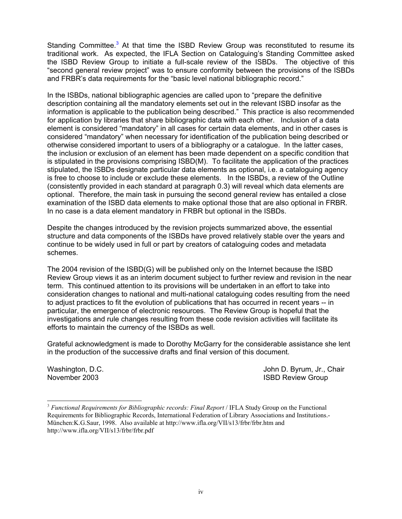Standing Committee.<sup>[3](#page-3-0)</sup> At that time the ISBD Review Group was reconstituted to resume its traditional work. As expected, the IFLA Section on Cataloguing's Standing Committee asked the ISBD Review Group to initiate a full-scale review of the ISBDs. The objective of this "second general review project" was to ensure conformity between the provisions of the ISBDs and FRBR's data requirements for the "basic level national bibliographic record."

In the ISBDs, national bibliographic agencies are called upon to "prepare the definitive description containing all the mandatory elements set out in the relevant ISBD insofar as the information is applicable to the publication being described." This practice is also recommended for application by libraries that share bibliographic data with each other. Inclusion of a data element is considered "mandatory" in all cases for certain data elements, and in other cases is considered "mandatory" when necessary for identification of the publication being described or otherwise considered important to users of a bibliography or a catalogue. In the latter cases, the inclusion or exclusion of an element has been made dependent on a specific condition that is stipulated in the provisions comprising ISBD(M). To facilitate the application of the practices stipulated, the ISBDs designate particular data elements as optional, i.e. a cataloguing agency is free to choose to include or exclude these elements. In the ISBDs, a review of the Outline (consistently provided in each standard at paragraph 0.3) will reveal which data elements are optional. Therefore, the main task in pursuing the second general review has entailed a close examination of the ISBD data elements to make optional those that are also optional in FRBR. In no case is a data element mandatory in FRBR but optional in the ISBDs.

Despite the changes introduced by the revision projects summarized above, the essential structure and data components of the ISBDs have proved relatively stable over the years and continue to be widely used in full or part by creators of cataloguing codes and metadata schemes.

The 2004 revision of the ISBD(G) will be published only on the Internet because the ISBD Review Group views it as an interim document subject to further review and revision in the near term. This continued attention to its provisions will be undertaken in an effort to take into consideration changes to national and multi-national cataloguing codes resulting from the need to adjust practices to fit the evolution of publications that has occurred in recent years -- in particular, the emergence of electronic resources. The Review Group is hopeful that the investigations and rule changes resulting from these code revision activities will facilitate its efforts to maintain the currency of the ISBDs as well.

Grateful acknowledgment is made to Dorothy McGarry for the considerable assistance she lent in the production of the successive drafts and final version of this document.

Washington, D.C. **John D. Byrum, Jr., Chair** November 2003 **ISBD** Review Group

<span id="page-3-0"></span> <sup>3</sup> *Functional Requirements for Bibliographic records: Final Report* / IFLA Study Group on the Functional Requirements for Bibliographic Records, International Federation of Library Associations and Institutions.- München:K.G.Saur, 1998. Also available at <http://www.ifla.org/VII/s13/frbr/frbr.htm>and <http://www.ifla.org/VII/s13/frbr/frbr.pdf>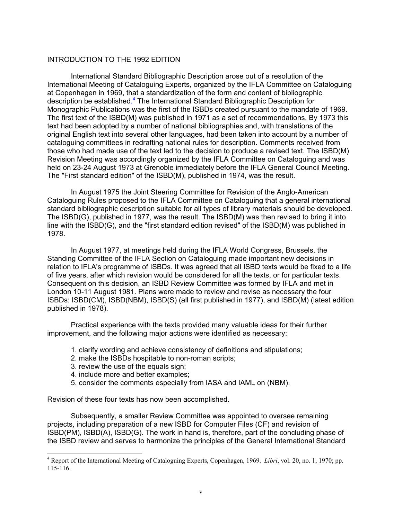# <span id="page-4-2"></span><span id="page-4-0"></span>INTRODUCTION TO THE 1992 EDITION

International Standard Bibliographic Description arose out of a resolution of the International Meeting of Cataloguing Experts, organized by the IFLA Committee on Cataloguing at Copenhagen in 1969, that a standardization of the form and content of bibliographic description be established.<sup>[4](#page-4-1)</sup> The International Standard Bibliographic Description for Monographic Publications was the first of the ISBDs created pursuant to the mandate of 1969. The first text of the ISBD(M) was published in 1971 as a set of recommendations. By 1973 this text had been adopted by a number of national bibliographies and, with translations of the original English text into several other languages, had been taken into account by a number of cataloguing committees in redrafting national rules for description. Comments received from those who had made use of the text led to the decision to produce a revised text. The ISBD(M) Revision Meeting was accordingly organized by the IFLA Committee on Cataloguing and was held on 23-24 August 1973 at Grenoble immediately before the IFLA General Council Meeting. The "First standard edition" of the ISBD(M), published in 1974, was the result.

In August 1975 the Joint Steering Committee for Revision of the Anglo-American Cataloguing Rules proposed to the IFLA Committee on Cataloguing that a general international standard bibliographic description suitable for all types of library materials should be developed. The ISBD(G), published in 1977, was the result. The ISBD(M) was then revised to bring it into line with the ISBD(G), and the "first standard edition revised" of the ISBD(M) was published in 1978.

In August 1977, at meetings held during the IFLA World Congress, Brussels, the Standing Committee of the IFLA Section on Cataloguing made important new decisions in relation to IFLA's programme of ISBDs. It was agreed that all ISBD texts would be fixed to a life of five years, after which revision would be considered for all the texts, or for particular texts. Consequent on this decision, an ISBD Review Committee was formed by IFLA and met in London 10-11 August 1981. Plans were made to review and revise as necessary the four ISBDs: ISBD(CM), ISBD(NBM), ISBD(S) (all first published in 1977), and ISBD(M) (latest edition published in 1978).

Practical experience with the texts provided many valuable ideas for their further improvement, and the following major actions were identified as necessary:

- 1. clarify wording and achieve consistency of definitions and stipulations;
- 2. make the ISBDs hospitable to non-roman scripts;
- 3. review the use of the equals sign;
- 4. include more and better examples;
- 5. consider the comments especially from IASA and IAML on (NBM).

Revision of these four texts has now been accomplished.

Subsequently, a smaller Review Committee was appointed to oversee remaining projects, including preparation of a new ISBD for Computer Files (CF) and revision of ISBD(PM), ISBD(A), ISBD(G). The work in hand is, therefore, part of the concluding phase of the ISBD review and serves to harmonize the principles of the General International Standard

<span id="page-4-1"></span> <sup>4</sup> Report of the International Meeting of Cataloguing Experts, Copenhagen, 1969. *Libri*, vol. 20, no. 1, 1970; pp. 115-116.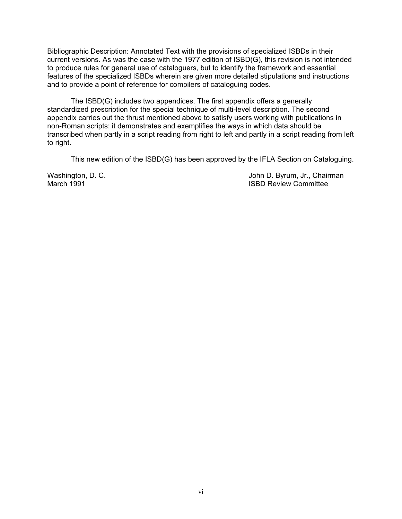Bibliographic Description: Annotated Text with the provisions of specialized ISBDs in their current versions. As was the case with the 1977 edition of ISBD(G), this revision is not intended to produce rules for general use of cataloguers, but to identify the framework and essential features of the specialized ISBDs wherein are given more detailed stipulations and instructions and to provide a point of reference for compilers of cataloguing codes.

The ISBD(G) includes two appendices. The first appendix offers a generally standardized prescription for the special technique of multi-level description. The second appendix carries out the thrust mentioned above to satisfy users working with publications in non-Roman scripts: it demonstrates and exemplifies the ways in which data should be transcribed when partly in a script reading from right to left and partly in a script reading from left to right.

This new edition of the ISBD(G) has been approved by the IFLA Section on Cataloguing.

Washington, D. C. John D. Byrum, Jr., Chairman **ISBD Review Committee**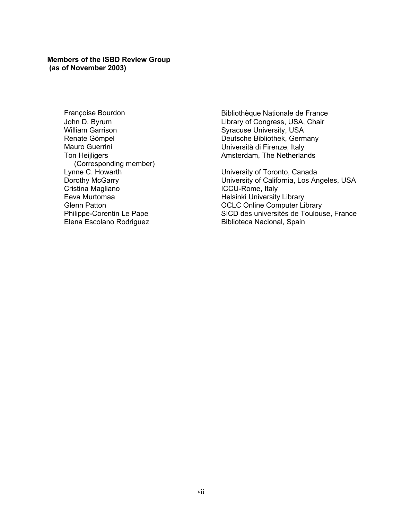<span id="page-6-0"></span>**Members of the ISBD Review Group (as of November 2003)** 

> William Garrison **Syracuse University**, USA Mauro Guerrini **Mauro Guerrini** European Mauro Guerrini European Università di Firenze, Italy Ton Heijligers (Corresponding member) Lynne C. Howarth **Example 2** University of Toronto, Canada Eeva Murtomaa **Helsinki University Library** Elena Escolano Rodriguez **Biblioteca Nacional, Spain**

Françoise Bourdon **Bibliotheque Nationale de France** John D. Byrum **Library of Congress, USA, Chair** Renate Gömpel **Deutsche Bibliothek, Germany** Amsterdam, The Netherlands

Dorothy McGarry **Dorothy McGarry Constructs** University of California, Los Angeles, USA<br>Cristina Magliano Cristina Magliano ICCU-Rome, Italy Glenn Patton **Computer Library** OCLC Online Computer Library Philippe-Corentin Le Pape SICD des universités de Toulouse, France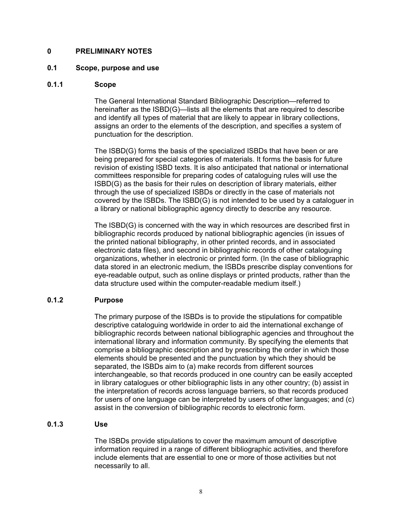# <span id="page-7-1"></span><span id="page-7-0"></span>**0 PRELIMINARY NOTES**

### **0.1 Scope, purpose and use**

# **0.1.1 Scope**

The General International Standard Bibliographic Description—referred to hereinafter as the ISBD(G)—lists all the elements that are required to describe and identify all types of material that are likely to appear in library collections, assigns an order to the elements of the description, and specifies a system of punctuation for the description.

The ISBD(G) forms the basis of the specialized ISBDs that have been or are being prepared for special categories of materials. It forms the basis for future revision of existing ISBD texts. It is also anticipated that national or international committees responsible for preparing codes of cataloguing rules will use the ISBD(G) as the basis for their rules on description of library materials, either through the use of specialized ISBDs or directly in the case of materials not covered by the ISBDs. The ISBD(G) is not intended to be used by a cataloguer in a library or national bibliographic agency directly to describe any resource.

The ISBD(G) is concerned with the way in which resources are described first in bibliographic records produced by national bibliographic agencies (in issues of the printed national bibliography, in other printed records, and in associated electronic data files), and second in bibliographic records of other cataloguing organizations, whether in electronic or printed form. (In the case of bibliographic data stored in an electronic medium, the ISBDs prescribe display conventions for eye-readable output, such as online displays or printed products, rather than the data structure used within the computer-readable medium itself.)

# **0.1.2 Purpose**

The primary purpose of the ISBDs is to provide the stipulations for compatible descriptive cataloguing worldwide in order to aid the international exchange of bibliographic records between national bibliographic agencies and throughout the international library and information community. By specifying the elements that comprise a bibliographic description and by prescribing the order in which those elements should be presented and the punctuation by which they should be separated, the ISBDs aim to (a) make records from different sources interchangeable, so that records produced in one country can be easily accepted in library catalogues or other bibliographic lists in any other country; (b) assist in the interpretation of records across language barriers, so that records produced for users of one language can be interpreted by users of other languages; and (c) assist in the conversion of bibliographic records to electronic form.

# **0.1.3 Use**

The ISBDs provide stipulations to cover the maximum amount of descriptive information required in a range of different bibliographic activities, and therefore include elements that are essential to one or more of those activities but not necessarily to all.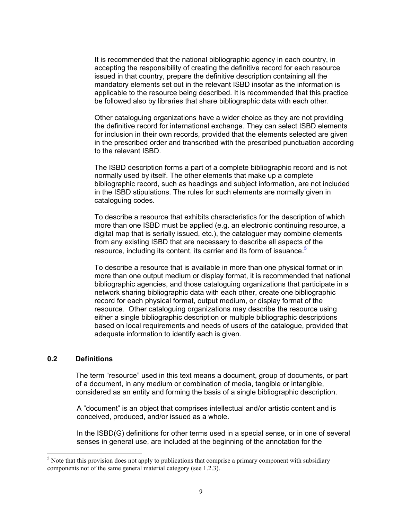<span id="page-8-2"></span><span id="page-8-0"></span>It is recommended that the national bibliographic agency in each country, in accepting the responsibility of creating the definitive record for each resource issued in that country, prepare the definitive description containing all the mandatory elements set out in the relevant ISBD insofar as the information is applicable to the resource being described. It is recommended that this practice be followed also by libraries that share bibliographic data with each other.

Other cataloguing organizations have a wider choice as they are not providing the definitive record for international exchange. They can select ISBD elements for inclusion in their own records, provided that the elements selected are given in the prescribed order and transcribed with the prescribed punctuation according to the relevant ISBD.

The ISBD description forms a part of a complete bibliographic record and is not normally used by itself. The other elements that make up a complete bibliographic record, such as headings and subject information, are not included in the ISBD stipulations. The rules for such elements are normally given in cataloguing codes.

To describe a resource that exhibits characteristics for the description of which more than one ISBD must be applied (e.g. an electronic continuing resource, a digital map that is serially issued, etc.), the cataloguer may combine elements from any existing ISBD that are necessary to describe all aspects of the resource, including its content, its carrier and its form of issuance.<sup>[5](#page-8-1)</sup>

To describe a resource that is available in more than one physical format or in more than one output medium or display format, it is recommended that national bibliographic agencies, and those cataloguing organizations that participate in a network sharing bibliographic data with each other, create one bibliographic record for each physical format, output medium, or display format of the resource. Other cataloguing organizations may describe the resource using either a single bibliographic description or multiple bibliographic descriptions based on local requirements and needs of users of the catalogue, provided that adequate information to identify each is given.

# **0.2 Definitions**

The term "resource" used in this text means a document, group of documents, or part of a document, in any medium or combination of media, tangible or intangible, considered as an entity and forming the basis of a single bibliographic description.

A "document" is an object that comprises intellectual and/or artistic content and is conceived, produced, and/or issued as a whole.

In the ISBD(G) definitions for other terms used in a special sense, or in one of several senses in general use, are included at the beginning of the annotation for the

<span id="page-8-1"></span> <sup>5</sup>  $5$  Note that this provision does not apply to publications that comprise a primary component with subsidiary components not of the same general material category (see 1.2.3).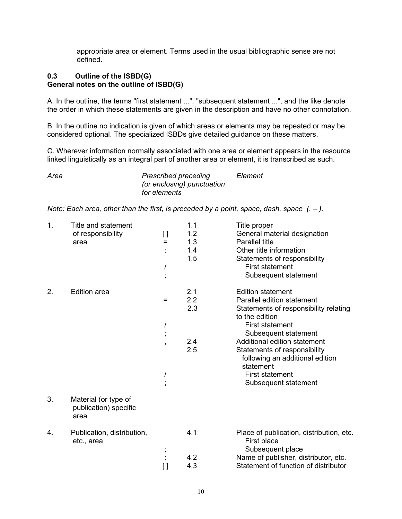appropriate area or element. Terms used in the usual bibliographic sense are not defined.

# <span id="page-9-1"></span><span id="page-9-0"></span>**0.3 Outline of the ISBD(G) General notes on the outline of ISBD(G)**

A. In the outline, the terms "first statement ...", "subsequent statement ...", and the like denote the order in which these statements are given in the description and have no other connotation.

B. In the outline no indication is given of which areas or elements may be repeated or may be considered optional. The specialized ISBDs give detailed guidance on these matters.

C. Wherever information normally associated with one area or element appears in the resource linked linguistically as an integral part of another area or element, it is transcribed as such.

| Area | <b>Prescribed preceding</b> | Element |
|------|-----------------------------|---------|
|      | (or enclosing) punctuation  |         |
|      | for elements                |         |

*Note: Each area, other than the first, is preceded by a point, space, dash, space (. – ).* 

| 1. | Title and statement                           |                          | 1.1 | Title proper                                                                 |
|----|-----------------------------------------------|--------------------------|-----|------------------------------------------------------------------------------|
|    | of responsibility                             | []                       | 1.2 | General material designation                                                 |
|    | area                                          | $=$                      | 1.3 | <b>Parallel title</b>                                                        |
|    |                                               |                          | 1.4 | Other title information                                                      |
|    |                                               |                          | 1.5 | Statements of responsibility                                                 |
|    |                                               |                          |     | <b>First statement</b>                                                       |
|    |                                               | $\overline{\phantom{a}}$ |     | Subsequent statement                                                         |
| 2. | <b>Edition</b> area                           |                          | 2.1 | <b>Edition statement</b>                                                     |
|    |                                               | Ξ                        | 2.2 | Parallel edition statement                                                   |
|    |                                               |                          | 2.3 | Statements of responsibility relating<br>to the edition                      |
|    |                                               |                          |     | <b>First statement</b>                                                       |
|    |                                               | $\overline{ }$           |     | Subsequent statement                                                         |
|    |                                               |                          | 2.4 | Additional edition statement                                                 |
|    |                                               |                          | 2.5 | Statements of responsibility<br>following an additional edition<br>statement |
|    |                                               |                          |     | <b>First statement</b>                                                       |
|    |                                               |                          |     | Subsequent statement                                                         |
| 3. | Material (or type of<br>publication) specific |                          |     |                                                                              |
|    | area                                          |                          |     |                                                                              |
| 4. | Publication, distribution,<br>etc., area      |                          | 4.1 | Place of publication, distribution, etc.<br>First place                      |
|    |                                               |                          |     | Subsequent place                                                             |
|    |                                               |                          | 4.2 | Name of publisher, distributor, etc.                                         |
|    |                                               | []                       | 4.3 | Statement of function of distributor                                         |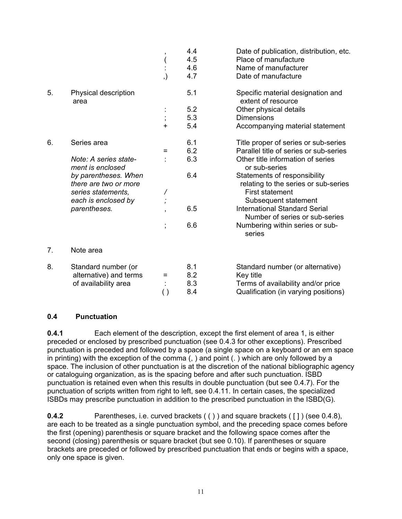<span id="page-10-1"></span><span id="page-10-0"></span>

|    |                                               |                          | 4.4<br>4.5<br>4.6 | Date of publication, distribution, etc.<br>Place of manufacture<br>Name of manufacturer |
|----|-----------------------------------------------|--------------------------|-------------------|-----------------------------------------------------------------------------------------|
|    |                                               | , )                      | 4.7               | Date of manufacture                                                                     |
| 5. | Physical description<br>area                  |                          | 5.1               | Specific material designation and<br>extent of resource                                 |
|    |                                               |                          | 5.2               | Other physical details                                                                  |
|    |                                               |                          | 5.3               | <b>Dimensions</b>                                                                       |
|    |                                               | $\ddot{}$                | 5.4               | Accompanying material statement                                                         |
| 6. | Series area                                   |                          | 6.1               | Title proper of series or sub-series                                                    |
|    |                                               | =                        | 6.2               | Parallel title of series or sub-series                                                  |
|    | Note: A series state-<br>ment is enclosed     |                          | 6.3               | Other title information of series<br>or sub-series                                      |
|    | by parentheses. When<br>there are two or more |                          | 6.4               | Statements of responsibility<br>relating to the series or sub-series                    |
|    | series statements,                            | Γ                        |                   | <b>First statement</b>                                                                  |
|    | each is enclosed by                           | $\overline{\phantom{a}}$ |                   | Subsequent statement                                                                    |
|    | parentheses.                                  |                          | 6.5               | <b>International Standard Serial</b><br>Number of series or sub-series                  |
|    |                                               | $\overline{\phantom{a}}$ | 6.6               | Numbering within series or sub-<br>series                                               |
| 7. | Note area                                     |                          |                   |                                                                                         |
| 8. | Standard number (or                           |                          | 8.1               | Standard number (or alternative)                                                        |
|    | alternative) and terms                        | $=$                      | 8.2               | Key title                                                                               |
|    | of availability area                          | t,                       | 8.3               | Terms of availability and/or price                                                      |
|    |                                               | $\left( \ \right)$       | 8.4               | Qualification (in varying positions)                                                    |

# **0.4 Punctuation**

**0.4.1** Each element of the description, except the first element of area 1, is either preceded or enclosed by prescribed punctuation (see 0.4.3 for other exceptions). Prescribed punctuation is preceded and followed by a space (a single space on a keyboard or an em space in printing) with the exception of the comma  $(.)$  and point  $(.)$  which are only followed by a space. The inclusion of other punctuation is at the discretion of the national bibliographic agency or cataloguing organization, as is the spacing before and after such punctuation. ISBD punctuation is retained even when this results in double punctuation (but see 0.4.7). For the punctuation of scripts written from right to left, see 0.4.11. In certain cases, the specialized ISBDs may prescribe punctuation in addition to the prescribed punctuation in the ISBD(G).

**0.4.2** Parentheses, i.e. curved brackets ( ( ) ) and square brackets ( [ ] ) (see 0.4.8), are each to be treated as a single punctuation symbol, and the preceding space comes before the first (opening) parenthesis or square bracket and the following space comes after the second (closing) parenthesis or square bracket (but see 0.10). If parentheses or square brackets are preceded or followed by prescribed punctuation that ends or begins with a space, only one space is given.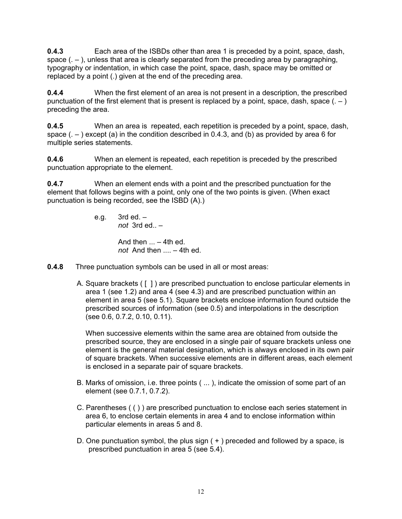<span id="page-11-0"></span>**0.4.3** Each area of the ISBDs other than area 1 is preceded by a point, space, dash, space  $( . - )$ , unless that area is clearly separated from the preceding area by paragraphing, typography or indentation, in which case the point, space, dash, space may be omitted or replaced by a point (.) given at the end of the preceding area.

**0.4.4** When the first element of an area is not present in a description, the prescribed punctuation of the first element that is present is replaced by a point, space, dash, space  $(.-)$ preceding the area.

**0.4.5** When an area is repeated, each repetition is preceded by a point, space, dash, space  $(.-)$  except (a) in the condition described in 0.4.3, and (b) as provided by area 6 for multiple series statements.

**0.4.6** When an element is repeated, each repetition is preceded by the prescribed punctuation appropriate to the element.

**0.4.7** When an element ends with a point and the prescribed punctuation for the element that follows begins with a point, only one of the two points is given. (When exact punctuation is being recorded, see the ISBD (A).)

> e.g.  $3rd$  ed.  $$  *not* 3rd ed.. –

> > And then  $\ldots$  – 4th ed. *not* And then .... – 4th ed.

- **0.4.8** Three punctuation symbols can be used in all or most areas:
	- A. Square brackets ( [ ] ) are prescribed punctuation to enclose particular elements in area 1 (see 1.2) and area 4 (see 4.3) and are prescribed punctuation within an element in area 5 (see 5.1). Square brackets enclose information found outside the prescribed sources of information (see 0.5) and interpolations in the description (see 0.6, 0.7.2, 0.10, 0.11).

When successive elements within the same area are obtained from outside the prescribed source, they are enclosed in a single pair of square brackets unless one element is the general material designation, which is always enclosed in its own pair of square brackets. When successive elements are in different areas, each element is enclosed in a separate pair of square brackets.

- B. Marks of omission, i.e. three points ( ... ), indicate the omission of some part of an element (see 0.7.1, 0.7.2).
- C. Parentheses ( ( ) ) are prescribed punctuation to enclose each series statement in area 6, to enclose certain elements in area 4 and to enclose information within particular elements in areas 5 and 8.
- D. One punctuation symbol, the plus sign ( + ) preceded and followed by a space, is prescribed punctuation in area 5 (see 5.4).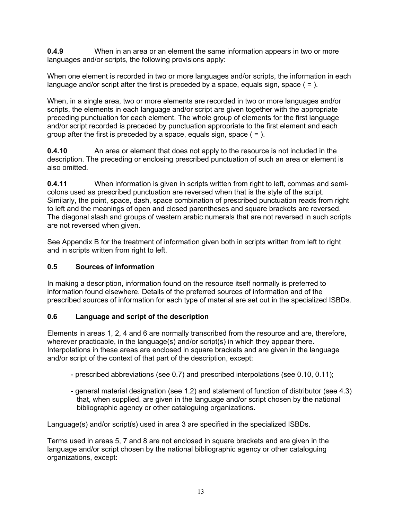<span id="page-12-1"></span><span id="page-12-0"></span>**0.4.9** When in an area or an element the same information appears in two or more languages and/or scripts, the following provisions apply:

When one element is recorded in two or more languages and/or scripts, the information in each language and/or script after the first is preceded by a space, equals sign, space  $( = )$ .

When, in a single area, two or more elements are recorded in two or more languages and/or scripts, the elements in each language and/or script are given together with the appropriate preceding punctuation for each element. The whole group of elements for the first language and/or script recorded is preceded by punctuation appropriate to the first element and each group after the first is preceded by a space, equals sign, space  $( = )$ .

**0.4.10** An area or element that does not apply to the resource is not included in the description. The preceding or enclosing prescribed punctuation of such an area or element is also omitted.

**0.4.11** When information is given in scripts written from right to left, commas and semicolons used as prescribed punctuation are reversed when that is the style of the script. Similarly, the point, space, dash, space combination of prescribed punctuation reads from right to left and the meanings of open and closed parentheses and square brackets are reversed. The diagonal slash and groups of western arabic numerals that are not reversed in such scripts are not reversed when given.

See Appendix B for the treatment of information given both in scripts written from left to right and in scripts written from right to left.

# **0.5 Sources of information**

In making a description, information found on the resource itself normally is preferred to information found elsewhere. Details of the preferred sources of information and of the prescribed sources of information for each type of material are set out in the specialized ISBDs.

# **0.6 Language and script of the description**

Elements in areas 1, 2, 4 and 6 are normally transcribed from the resource and are, therefore, wherever practicable, in the language(s) and/or script(s) in which they appear there. Interpolations in these areas are enclosed in square brackets and are given in the language and/or script of the context of that part of the description, except:

- prescribed abbreviations (see 0.7) and prescribed interpolations (see 0.10, 0.11);
- general material designation (see 1.2) and statement of function of distributor (see 4.3) that, when supplied, are given in the language and/or script chosen by the national bibliographic agency or other cataloguing organizations.

Language(s) and/or script(s) used in area 3 are specified in the specialized ISBDs.

Terms used in areas 5, 7 and 8 are not enclosed in square brackets and are given in the language and/or script chosen by the national bibliographic agency or other cataloguing organizations, except: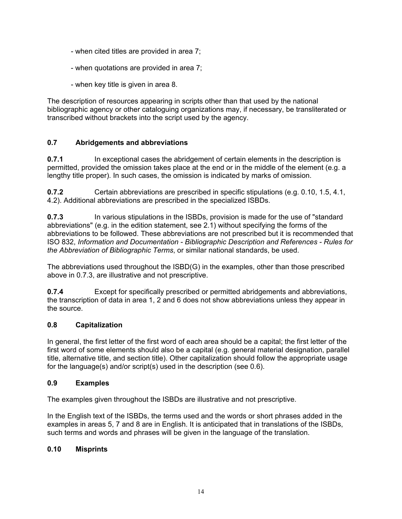- <span id="page-13-1"></span><span id="page-13-0"></span>- when cited titles are provided in area 7;
- when quotations are provided in area 7;
- when key title is given in area 8.

The description of resources appearing in scripts other than that used by the national bibliographic agency or other cataloguing organizations may, if necessary, be transliterated or transcribed without brackets into the script used by the agency.

# **0.7 Abridgements and abbreviations**

**0.7.1** In exceptional cases the abridgement of certain elements in the description is permitted, provided the omission takes place at the end or in the middle of the element (e.g. a lengthy title proper). In such cases, the omission is indicated by marks of omission.

**0.7.2** Certain abbreviations are prescribed in specific stipulations (e.g. 0.10, 1.5, 4.1, 4.2). Additional abbreviations are prescribed in the specialized ISBDs.

**0.7.3** In various stipulations in the ISBDs, provision is made for the use of "standard abbreviations" (e.g. in the edition statement, see 2.1) without specifying the forms of the abbreviations to be followed. These abbreviations are not prescribed but it is recommended that ISO 832, *Information and Documentation - Bibliographic Description and References - Rules for the Abbreviation of Bibliographic Terms*, or similar national standards, be used.

The abbreviations used throughout the ISBD(G) in the examples, other than those prescribed above in 0.7.3, are illustrative and not prescriptive.

**0.7.4 Except for specifically prescribed or permitted abridgements and abbreviations,** the transcription of data in area 1, 2 and 6 does not show abbreviations unless they appear in the source.

# **0.8 Capitalization**

In general, the first letter of the first word of each area should be a capital; the first letter of the first word of some elements should also be a capital (e.g. general material designation, parallel title, alternative title, and section title). Other capitalization should follow the appropriate usage for the language(s) and/or script(s) used in the description (see 0.6).

# **0.9 Examples**

The examples given throughout the ISBDs are illustrative and not prescriptive.

In the English text of the ISBDs, the terms used and the words or short phrases added in the examples in areas 5, 7 and 8 are in English. It is anticipated that in translations of the ISBDs, such terms and words and phrases will be given in the language of the translation.

# **0.10 Misprints**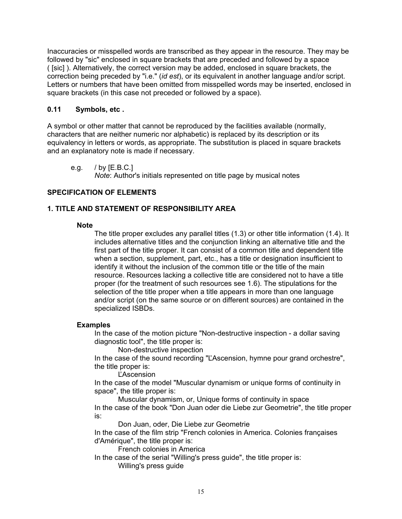<span id="page-14-1"></span><span id="page-14-0"></span>Inaccuracies or misspelled words are transcribed as they appear in the resource. They may be followed by "sic" enclosed in square brackets that are preceded and followed by a space ( [sic] ). Alternatively, the correct version may be added, enclosed in square brackets, the correction being preceded by "i.e." (*id est*), or its equivalent in another language and/or script. Letters or numbers that have been omitted from misspelled words may be inserted, enclosed in square brackets (in this case not preceded or followed by a space).

# **0.11 Symbols, etc .**

A symbol or other matter that cannot be reproduced by the facilities available (normally, characters that are neither numeric nor alphabetic) is replaced by its description or its equivalency in letters or words, as appropriate. The substitution is placed in square brackets and an explanatory note is made if necessary.

e.g. / by  $[E.B.C.]$ 

*Note*: Author's initials represented on title page by musical notes

# **SPECIFICATION OF ELEMENTS**

# **1. TITLE AND STATEMENT OF RESPONSIBILITY AREA**

# **Note**

The title proper excludes any parallel titles (1.3) or other title information (1.4). It includes alternative titles and the conjunction linking an alternative title and the first part of the title proper. It can consist of a common title and dependent title when a section, supplement, part, etc., has a title or designation insufficient to identify it without the inclusion of the common title or the title of the main resource. Resources lacking a collective title are considered not to have a title proper (for the treatment of such resources see 1.6). The stipulations for the selection of the title proper when a title appears in more than one language and/or script (on the same source or on different sources) are contained in the specialized ISBDs.

# **Examples**

In the case of the motion picture "Non-destructive inspection - a dollar saving diagnostic tool", the title proper is:

Non-destructive inspection

In the case of the sound recording "ĽAscension, hymne pour grand orchestre", the title proper is:

ĽAscension

In the case of the model "Muscular dynamism or unique forms of continuity in space", the title proper is:

Muscular dynamism, or, Unique forms of continuity in space In the case of the book "Don Juan oder die Liebe zur Geometrie", the title proper is:

Don Juan, oder, Die Liebe zur Geometrie In the case of the film strip "French colonies in America. Colonies françaises d'Amérique", the title proper is:

French colonies in America

In the case of the serial "Willing's press guide", the title proper is: Willing's press guide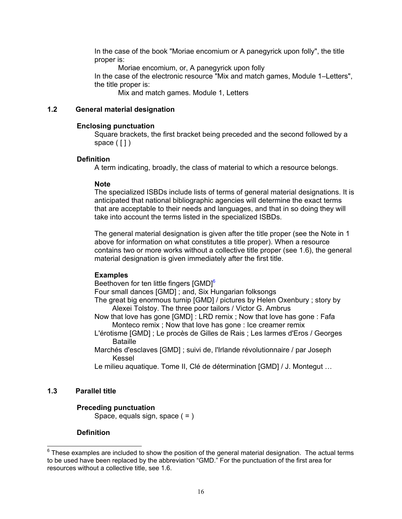<span id="page-15-0"></span>In the case of the book "Moriae encomium or A panegyrick upon folly", the title proper is:

Moriae encomium, or, A panegyrick upon folly In the case of the electronic resource "Mix and match games, Module 1–Letters", the title proper is:

Mix and match games. Module 1, Letters

# **1.2 General material designation**

# **Enclosing punctuation**

Square brackets, the first bracket being preceded and the second followed by a space  $(1)$ 

# **Definition**

A term indicating, broadly, the class of material to which a resource belongs.

# **Note**

The specialized ISBDs include lists of terms of general material designations. It is anticipated that national bibliographic agencies will determine the exact terms that are acceptable to their needs and languages, and that in so doing they will take into account the terms listed in the specialized ISBDs.

The general material designation is given after the title proper (see the Note in 1 above for information on what constitutes a title proper). When a resource contains two or more works without a collective title proper (see 1.6), the general material designation is given immediately after the first title.

# **Examples**

Beethoven for ten little fingers [GMD]<sup>6</sup>

Four small dances [GMD] ; and, Six Hungarian folksongs

- The great big enormous turnip [GMD] / pictures by Helen Oxenbury ; story by Alexei Tolstoy. The three poor tailors / Victor G. Ambrus
- Now that love has gone [GMD] : LRD remix ; Now that love has gone : Fafa Monteco remix ; Now that love has gone : Ice creamer remix
- L'érotisme [GMD] ; Le procès de Gilles de Rais ; Les larmes d'Eros / Georges **Bataille**
- Marchés d'esclaves [GMD] ; suivi de, l'Irlande révolutionnaire / par Joseph Kessel

Le milieu aquatique. Tome II, Clé de détermination [GMD] / J. Montegut …

# **1.3 Parallel title**

# **Preceding punctuation**

Space, equals sign, space ( = )

# **Definition**

<sup>————————————————————&</sup>lt;br><sup>6</sup> These examples are included to show the position of the general material designation. The actual terms to be used have been replaced by the abbreviation "GMD." For the punctuation of the first area for resources without a collective title, see 1.6.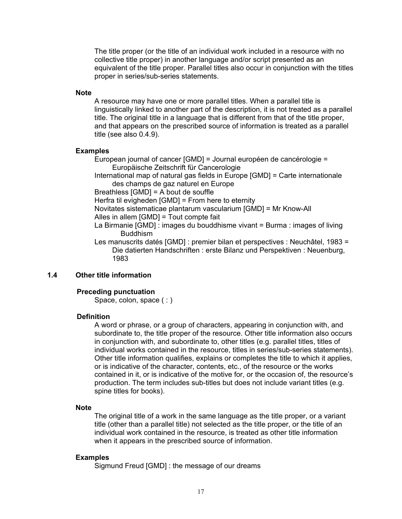<span id="page-16-0"></span>The title proper (or the title of an individual work included in a resource with no collective title proper) in another language and/or script presented as an equivalent of the title proper. Parallel titles also occur in conjunction with the titles proper in series/sub-series statements.

#### **Note**

A resource may have one or more parallel titles. When a parallel title is linguistically linked to another part of the description, it is not treated as a parallel title. The original title in a language that is different from that of the title proper, and that appears on the prescribed source of information is treated as a parallel title (see also 0.4.9).

### **Examples**

European journal of cancer [GMD] = Journal européen de cancérologie = Europäische Zeitschrift für Cancerologie International map of natural gas fields in Europe [GMD] = Carte internationale des champs de gaz naturel en Europe Breathless [GMD] = A bout de souffle Herfra til evigheden [GMD] = From here to eternity Novitates sistematicae plantarum vascularium [GMD] = Mr Know-All Alles in allem [GMD] = Tout compte fait La Birmanie [GMD] : images du bouddhisme vivant = Burma : images of living Buddhism Les manuscrits datés [GMD] : premier bilan et perspectives : Neuchâtel, 1983 = Die datierten Handschriften : erste Bilanz und Perspektiven : Neuenburg, 1983

### **1.4 Other title information**

#### **Preceding punctuation**

Space, colon, space (:)

#### **Definition**

A word or phrase, or a group of characters, appearing in conjunction with, and subordinate to, the title proper of the resource. Other title information also occurs in conjunction with, and subordinate to, other titles (e.g. parallel titles, titles of individual works contained in the resource, titles in series/sub-series statements). Other title information qualifies, explains or completes the title to which it applies, or is indicative of the character, contents, etc., of the resource or the works contained in it, or is indicative of the motive for, or the occasion of, the resource's production. The term includes sub-titles but does not include variant titles (e.g. spine titles for books).

#### **Note**

The original title of a work in the same language as the title proper, or a variant title (other than a parallel title) not selected as the title proper, or the title of an individual work contained in the resource, is treated as other title information when it appears in the prescribed source of information.

### **Examples**

Sigmund Freud [GMD] : the message of our dreams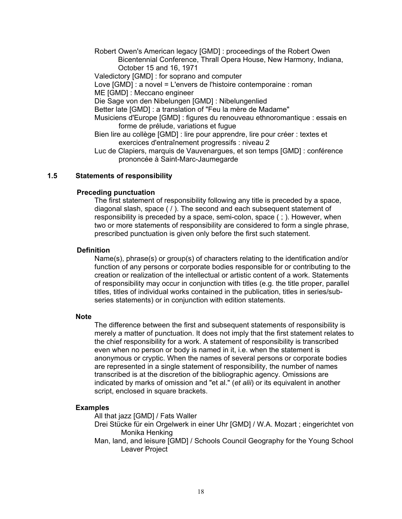<span id="page-17-0"></span>Robert Owen's American legacy [GMD] : proceedings of the Robert Owen Bicentennial Conference, Thrall Opera House, New Harmony, Indiana, October 15 and 16, 1971 Valedictory [GMD] : for soprano and computer Love [GMD] : a novel = L'envers de l'histoire contemporaine : roman ME [GMD] : Meccano engineer Die Sage von den Nibelungen [GMD] : Nibelungenlied Better late [GMD] : a translation of "Feu la mère de Madame" Musiciens d'Europe [GMD] : figures du renouveau ethnoromantique : essais en forme de prélude, variations et fugue Bien lire au collège [GMD] : lire pour apprendre, lire pour créer : textes et exercices d'entraînement progressifs : niveau 2 Luc de Clapiers, marquis de Vauvenargues, et son temps [GMD] : conférence prononcée à Saint-Marc-Jaumegarde

# **1.5 Statements of responsibility**

### **Preceding punctuation**

The first statement of responsibility following any title is preceded by a space, diagonal slash, space ( / ). The second and each subsequent statement of responsibility is preceded by a space, semi-colon, space ( ; ). However, when two or more statements of responsibility are considered to form a single phrase, prescribed punctuation is given only before the first such statement.

### **Definition**

Name(s), phrase(s) or group(s) of characters relating to the identification and/or function of any persons or corporate bodies responsible for or contributing to the creation or realization of the intellectual or artistic content of a work. Statements of responsibility may occur in conjunction with titles (e.g. the title proper, parallel titles, titles of individual works contained in the publication, titles in series/subseries statements) or in conjunction with edition statements.

#### **Note**

The difference between the first and subsequent statements of responsibility is merely a matter of punctuation. It does not imply that the first statement relates to the chief responsibility for a work. A statement of responsibility is transcribed even when no person or body is named in it, i.e. when the statement is anonymous or cryptic. When the names of several persons or corporate bodies are represented in a single statement of responsibility, the number of names transcribed is at the discretion of the bibliographic agency. Omissions are indicated by marks of omission and "et al." (*et alii*) or its equivalent in another script, enclosed in square brackets.

# **Examples**

All that jazz [GMD] / Fats Waller

Drei Stücke für ein Orgelwerk in einer Uhr [GMD] / W.A. Mozart ; eingerichtet von Monika Henking

Man, land, and leisure [GMD] / Schools Council Geography for the Young School Leaver Project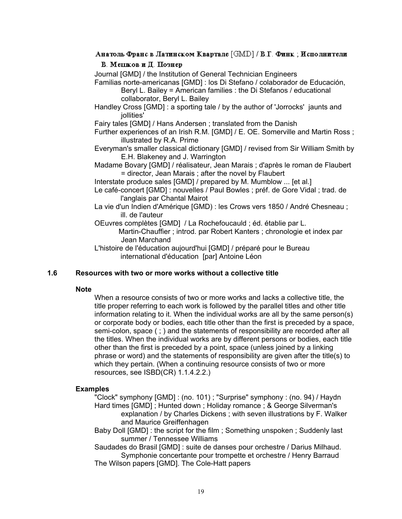# <span id="page-18-0"></span>Анатоль Франс в Латинском Квартале [GMD] / В.Г. Финк; Исполнители В. Менков и Д. Познер

Journal [GMD] / the Institution of General Technician Engineers

Familias norte-americanas [GMD] : los Di Stefano / colaborador de Educación,

Beryl L. Bailey = American families : the Di Stefanos / educational collaborator, Beryl L. Bailey

Handley Cross [GMD] : a sporting tale / by the author of 'Jorrocks' jaunts and jollities'

Fairy tales [GMD] / Hans Andersen ; translated from the Danish

- Further experiences of an Irish R.M. [GMD] / E. OE. Somerville and Martin Ross ; illustrated by R.A. Prime
- Everyman's smaller classical dictionary [GMD] / revised from Sir William Smith by E.H. Blakeney and J. Warrington
- Madame Bovary [GMD] / réalisateur, Jean Marais ; d'après le roman de Flaubert = director, Jean Marais ; after the novel by Flaubert

Interstate produce sales [GMD] / prepared by M. Mumblow ... [et al.]

- Le café-concert [GMD] : nouvelles / Paul Bowles ; préf. de Gore Vidal ; trad. de l'anglais par Chantal Mairot
- La vie d'un Indien d'Amérique [GMD) : les Crows vers 1850 / André Chesneau ; ill. de l'auteur

OEuvres complètes [GMD] / La Rochefoucauld ; éd. établie par L.

 Martin-Chauffier ; introd. par Robert Kanters ; chronologie et index par Jean Marchand

L'histoire de l'éducation aujourd'hui [GMD] / préparé pour le Bureau international d'éducation [par] Antoine Léon

# **1.6 Resources with two or more works without a collective title**

# **Note**

When a resource consists of two or more works and lacks a collective title, the title proper referring to each work is followed by the parallel titles and other title information relating to it. When the individual works are all by the same person(s) or corporate body or bodies, each title other than the first is preceded by a space, semi-colon, space ( ; ) and the statements of responsibility are recorded after all the titles. When the individual works are by different persons or bodies, each title other than the first is preceded by a point, space (unless joined by a linking phrase or word) and the statements of responsibility are given after the title(s) to which they pertain. (When a continuing resource consists of two or more resources, see ISBD(CR) 1.1.4.2.2.)

# **Examples**

"Clock" symphony [GMD] : (no. 101) ; "Surprise" symphony : (no. 94) / Haydn Hard times [GMD] ; Hunted down ; Holiday romance ; & George Silverman's explanation / by Charles Dickens ; with seven illustrations by F. Walker and Maurice Greiffenhagen

Baby Doll [GMD] : the script for the film ; Something unspoken ; Suddenly last summer / Tennessee Williams

Saudades do Brasil [GMD] : suite de danses pour orchestre / Darius Milhaud. Symphonie concertante pour trompette et orchestre / Henry Barraud The Wilson papers [GMD]. The Cole-Hatt papers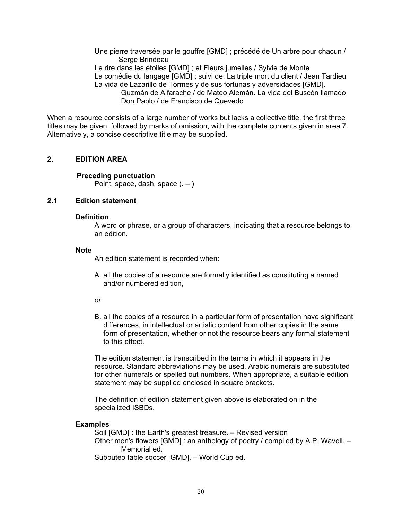<span id="page-19-1"></span><span id="page-19-0"></span>Une pierre traversée par le gouffre [GMD] ; précédé de Un arbre pour chacun / Serge Brindeau

Le rire dans les étoiles [GMD] ; et Fleurs jumelles / Sylvie de Monte

La comédie du langage [GMD] ; suivi de, La triple mort du client / Jean Tardieu La vida de Lazarillo de Tormes y de sus fortunas y adversidades [GMD].

Guzmán de Alfarache / de Mateo Alemán. La vida del Buscón llamado Don Pablo / de Francisco de Quevedo

When a resource consists of a large number of works but lacks a collective title, the first three titles may be given, followed by marks of omission, with the complete contents given in area 7. Alternatively, a concise descriptive title may be supplied.

# **2. EDITION AREA**

# **Preceding punctuation**

Point, space, dash, space  $(.-)$ 

# **2.1 Edition statement**

### **Definition**

A word or phrase, or a group of characters, indicating that a resource belongs to an edition.

### **Note**

An edition statement is recorded when:

A. all the copies of a resource are formally identified as constituting a named and/or numbered edition,

#### *or*

B. all the copies of a resource in a particular form of presentation have significant differences, in intellectual or artistic content from other copies in the same form of presentation, whether or not the resource bears any formal statement to this effect.

The edition statement is transcribed in the terms in which it appears in the resource. Standard abbreviations may be used. Arabic numerals are substituted for other numerals or spelled out numbers. When appropriate, a suitable edition statement may be supplied enclosed in square brackets.

The definition of edition statement given above is elaborated on in the specialized ISBDs.

# **Examples**

Soil [GMD] : the Earth's greatest treasure. – Revised version Other men's flowers [GMD] : an anthology of poetry / compiled by A.P. Wavell. – Memorial ed. Subbuteo table soccer [GMD]. – World Cup ed.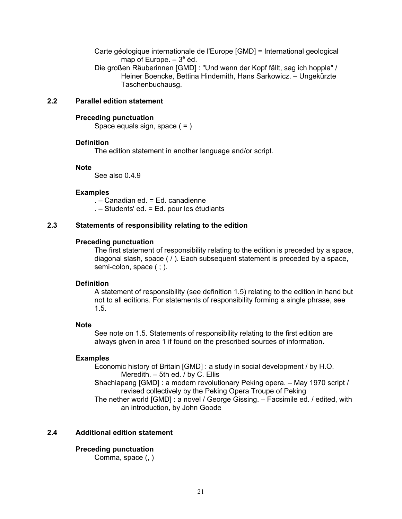<span id="page-20-0"></span>Carte géologique internationale de l'Europe [GMD] = International geological map of Europe.  $-3^e$  éd.

Die großen Räuberinnen [GMD] : "Und wenn der Kopf fällt, sag ich hoppla" / Heiner Boencke, Bettina Hindemith, Hans Sarkowicz. – Ungekürzte Taschenbuchausg.

# **2.2 Parallel edition statement**

# **Preceding punctuation**

Space equals sign, space  $( = )$ 

# **Definition**

The edition statement in another language and/or script.

# **Note**

See also 0.4.9

# **Examples**

. – Canadian ed. = Ed. canadienne

. – Students' ed. = Ed. pour les étudiants

# **2.3 Statements of responsibility relating to the edition**

# **Preceding punctuation**

The first statement of responsibility relating to the edition is preceded by a space, diagonal slash, space ( / ). Each subsequent statement is preceded by a space, semi-colon, space (; ).

# **Definition**

A statement of responsibility (see definition 1.5) relating to the edition in hand but not to all editions. For statements of responsibility forming a single phrase, see 1.5.

# **Note**

See note on 1.5. Statements of responsibility relating to the first edition are always given in area 1 if found on the prescribed sources of information.

# **Examples**

Economic history of Britain [GMD] : a study in social development / by H.O. Meredith. – 5th ed. / by C. Ellis

Shachiapang [GMD] : a modern revolutionary Peking opera. – May 1970 script / revised collectively by the Peking Opera Troupe of Peking

The nether world [GMD] : a novel / George Gissing. – Facsimile ed. / edited, with an introduction, by John Goode

# **2.4 Additional edition statement**

# **Preceding punctuation**

Comma, space (, )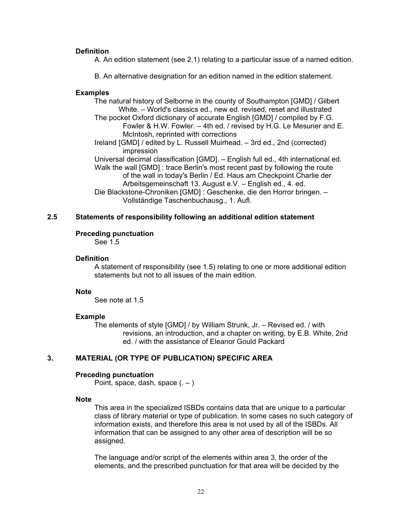### <span id="page-21-1"></span><span id="page-21-0"></span>**Definition**

A. An edition statement (see 2.1) relating to a particular issue of a named edition.

B. An alternative designation for an edition named in the edition statement.

# **Examples**

The natural history of Selborne in the county of Southampton [GMD] / Gilbert White. – World's classics ed., new ed. revised, reset and illustrated The pocket Oxford dictionary of accurate English [GMD] / compiled by F.G.

Fowler & H.W. Fowler. – 4th ed. / revised by H.G. Le Mesurier and E. McIntosh, reprinted with corrections

Ireland [GMD] / edited by L. Russell Muirhead. – 3rd ed., 2nd (corrected) impression

Universal decimal classification [GMD]. – English full ed., 4th international ed.

Walk the wall [GMD] : trace Berlin's most recent past by following the route of the wall in today's Berlin / Ed. Haus am Checkpoint Charlie der Arbeitsgemeinschaft 13. August e.V. – English ed., 4. ed.

Die Blackstone-Chroniken [GMD] : Geschenke, die den Horror bringen. – Vollständige Taschenbuchausg., 1. Aufl.

# **2.5 Statements of responsibility following an additional edition statement**

# **Preceding punctuation**

See 1.5

#### **Definition**

A statement of responsibility (see 1.5) relating to one or more additional edition statements but not to all issues of the main edition.

#### **Note**

See note at 1.5

#### **Example**

The elements of style [GMD] / by William Strunk, Jr. – Revised ed. / with revisions, an introduction, and a chapter on writing, by E.B. White, 2nd ed. / with the assistance of Eleanor Gould Packard

# **3. MATERIAL (OR TYPE OF PUBLICATION) SPECIFIC AREA**

### **Preceding punctuation**

Point, space, dash, space  $(.-)$ 

# **Note**

This area in the specialized ISBDs contains data that are unique to a particular class of library material or type of publication. In some cases no such category of information exists, and therefore this area is not used by all of the ISBDs. All information that can be assigned to any other area of description will be so assigned.

The language and/or script of the elements within area 3, the order of the elements, and the prescribed punctuation for that area will be decided by the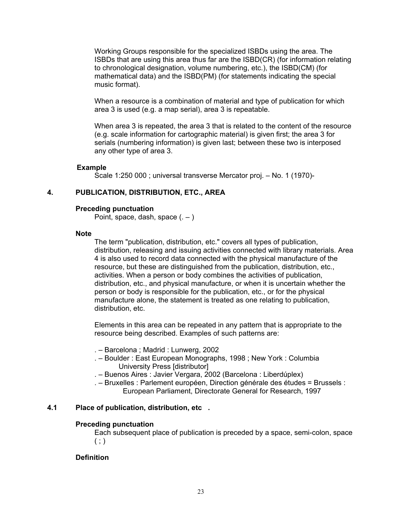<span id="page-22-1"></span><span id="page-22-0"></span>Working Groups responsible for the specialized ISBDs using the area. The ISBDs that are using this area thus far are the ISBD(CR) (for information relating to chronological designation, volume numbering, etc.), the ISBD(CM) (for mathematical data) and the ISBD(PM) (for statements indicating the special music format).

When a resource is a combination of material and type of publication for which area 3 is used (e.g. a map serial), area 3 is repeatable.

When area 3 is repeated, the area 3 that is related to the content of the resource (e.g. scale information for cartographic material) is given first; the area 3 for serials (numbering information) is given last; between these two is interposed any other type of area 3.

# **Example**

Scale 1:250 000 ; universal transverse Mercator proj. – No. 1 (1970)-

# **4. PUBLICATION, DISTRIBUTION, ETC., AREA**

### **Preceding punctuation**

Point, space, dash, space  $(.-)$ 

#### **Note**

The term "publication, distribution, etc." covers all types of publication, distribution, releasing and issuing activities connected with library materials. Area 4 is also used to record data connected with the physical manufacture of the resource, but these are distinguished from the publication, distribution, etc., activities. When a person or body combines the activities of publication, distribution, etc., and physical manufacture, or when it is uncertain whether the person or body is responsible for the publication, etc., or for the physical manufacture alone, the statement is treated as one relating to publication, distribution, etc.

Elements in this area can be repeated in any pattern that is appropriate to the resource being described. Examples of such patterns are:

- . Barcelona ; Madrid : Lunwerg, 2002
- . Boulder : East European Monographs, 1998 ; New York : Columbia University Press [distributor]
- . Buenos Aires : Javier Vergara, 2002 (Barcelona : Liberdúplex)
- . Bruxelles : Parlement européen, Direction générale des études = Brussels : European Parliament, Directorate General for Research, 1997

# **4.1 Place of publication, distribution, etc .**

#### **Preceding punctuation**

Each subsequent place of publication is preceded by a space, semi-colon, space  $( ; )$ 

# **Definition**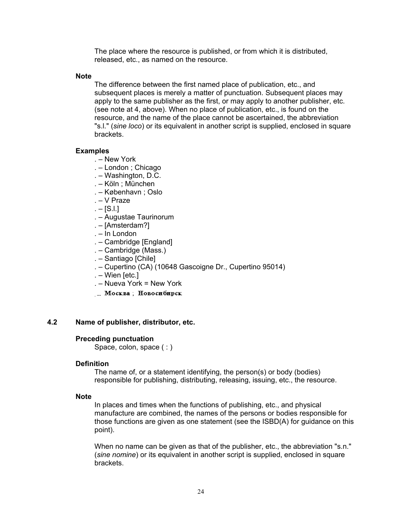The place where the resource is published, or from which it is distributed, released, etc., as named on the resource.

### <span id="page-23-0"></span> **Note**

The difference between the first named place of publication, etc., and subsequent places is merely a matter of punctuation. Subsequent places may apply to the same publisher as the first, or may apply to another publisher, etc. (see note at 4, above). When no place of publication, etc., is found on the resource, and the name of the place cannot be ascertained, the abbreviation "s.l." (*sine loco*) or its equivalent in another script is supplied, enclosed in square brackets.

### **Examples**

- . New York
- . London ; Chicago
- . Washington, D.C.
- . Köln ; München
- . København ; Oslo
- . V Praze
- $. -$  [S.I.]
- . Augustae Taurinorum
- . [Amsterdam?]
- . In London
- . Cambridge [England]
- . Cambridge (Mass.)
- . Santiago [Chile]
- . Cupertino (CA) (10648 Gascoigne Dr., Cupertino 95014)
- . Wien [etc.]
- . Nueva York = New York
- Москва; Новосибирск

# **4.2 Name of publisher, distributor, etc.**

#### **Preceding punctuation**

Space, colon, space (:)

#### **Definition**

The name of, or a statement identifying, the person(s) or body (bodies) responsible for publishing, distributing, releasing, issuing, etc., the resource.

#### **Note**

In places and times when the functions of publishing, etc., and physical manufacture are combined, the names of the persons or bodies responsible for those functions are given as one statement (see the ISBD(A) for guidance on this point).

When no name can be given as that of the publisher, etc., the abbreviation "s.n." (*sine nomine*) or its equivalent in another script is supplied, enclosed in square brackets.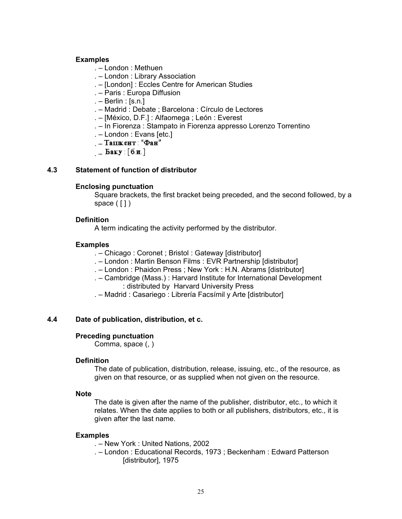# <span id="page-24-0"></span> **Examples**

- . London : Methuen
- . London : Library Association
- . [London] : Eccles Centre for American Studies
- . Paris : Europa Diffusion
- . Berlin : [s.n.]
- . Madrid : Debate ; Barcelona : Círculo de Lectores
- . [México, D.F.] : Alfaomega ; León : Everest
- . In Fiorenza : Stampato in Fiorenza appresso Lorenzo Torrentino
- . London : Evans [etc.]
- . Ташкент: "Фан"
- $-$  Баку: [б.н.]

# **4.3 Statement of function of distributor**

# **Enclosing punctuation**

Square brackets, the first bracket being preceded, and the second followed, by a space  $($ [  $)$ ]

# **Definition**

A term indicating the activity performed by the distributor.

# **Examples**

- . Chicago : Coronet ; Bristol : Gateway [distributor]
- . London : Martin Benson Films : EVR Partnership [distributor]
- . London : Phaidon Press ; New York : H.N. Abrams [distributor]
- . Cambridge (Mass.) : Harvard Institute for International Development : distributed by Harvard University Press
- . Madrid : Casariego : Librería Facsímil y Arte [distributor]

# **4.4 Date of publication, distribution, et c.**

# **Preceding punctuation**

Comma, space (, )

# **Definition**

The date of publication, distribution, release, issuing, etc., of the resource, as given on that resource, or as supplied when not given on the resource.

# **Note**

The date is given after the name of the publisher, distributor, etc., to which it relates. When the date applies to both or all publishers, distributors, etc., it is given after the last name.

# **Examples**

. – New York : United Nations, 2002

. – London : Educational Records, 1973 ; Beckenham : Edward Patterson [distributor], 1975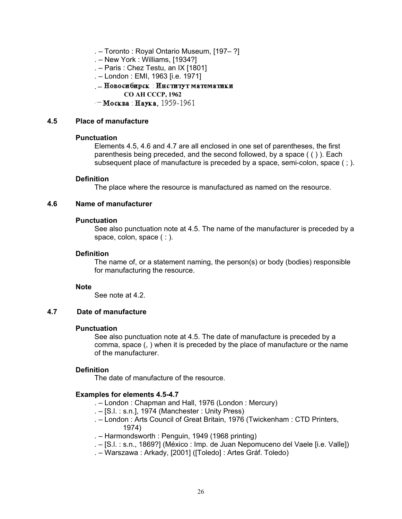- <span id="page-25-0"></span>. – Toronto : Royal Ontario Museum, [197– ?]
- . New York : Williams, [1934?]
- . Paris : Chez Testu, an IX [1801]
- . London : EMI, 1963 [i.e. 1971]
- . Новосибирск : Институт математики
	- **CO AH CCCP, 1962**
- $-MockBa$ : Hayka, 1959-1961

### **4.5 Place of manufacture**

### **Punctuation**

Elements 4.5, 4.6 and 4.7 are all enclosed in one set of parentheses, the first parenthesis being preceded, and the second followed, by a space ( ( ) ). Each subsequent place of manufacture is preceded by a space, semi-colon, space  $( ; ).$ 

### **Definition**

The place where the resource is manufactured as named on the resource.

### **4.6 Name of manufacturer**

#### **Punctuation**

See also punctuation note at 4.5. The name of the manufacturer is preceded by a space, colon, space (: ).

# **Definition**

The name of, or a statement naming, the person(s) or body (bodies) responsible for manufacturing the resource.

#### **Note**

See note at 4.2.

# **4.7 Date of manufacture**

# **Punctuation**

See also punctuation note at 4.5. The date of manufacture is preceded by a comma, space (, ) when it is preceded by the place of manufacture or the name of the manufacturer.

### **Definition**

The date of manufacture of the resource.

#### **Examples for elements 4.5-4.7**

- . London : Chapman and Hall, 1976 (London : Mercury)
- . [S.l. : s.n.], 1974 (Manchester : Unity Press)
- . London : Arts Council of Great Britain, 1976 (Twickenham : CTD Printers, 1974)
- . Harmondsworth : Penguin, 1949 (1968 printing)
- . [S.l. : s.n., 1869?] (México : Imp. de Juan Nepomuceno del Vaele [i.e. Valle])
- . Warszawa : Arkady, [2001] ([Toledo] : Artes Gráf. Toledo)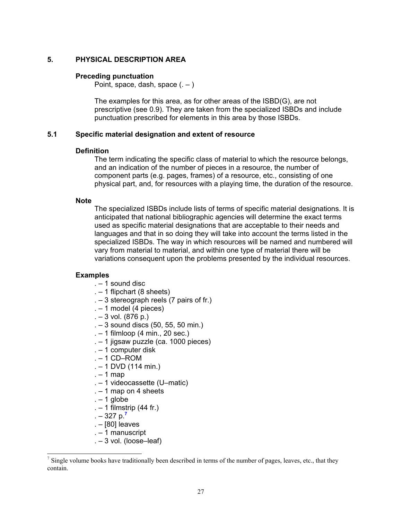# <span id="page-26-1"></span><span id="page-26-0"></span>**5. PHYSICAL DESCRIPTION AREA**

### **Preceding punctuation**

Point, space, dash, space  $(.-)$ 

The examples for this area, as for other areas of the ISBD(G), are not prescriptive (see 0.9). They are taken from the specialized ISBDs and include punctuation prescribed for elements in this area by those ISBDs.

# **5.1 Specific material designation and extent of resource**

#### **Definition**

The term indicating the specific class of material to which the resource belongs, and an indication of the number of pieces in a resource, the number of component parts (e.g. pages, frames) of a resource, etc., consisting of one physical part, and, for resources with a playing time, the duration of the resource.

#### **Note**

The specialized ISBDs include lists of terms of specific material designations. It is anticipated that national bibliographic agencies will determine the exact terms used as specific material designations that are acceptable to their needs and languages and that in so doing they will take into account the terms listed in the specialized ISBDs. The way in which resources will be named and numbered will vary from material to material, and within one type of material there will be variations consequent upon the problems presented by the individual resources.

#### **Examples**

- . 1 sound disc
- $-1$  flipchart (8 sheets)
- . 3 stereograph reels (7 pairs of fr.)
- $-1$  model (4 pieces)
- $. 3$  vol. (876 p.)
- . 3 sound discs (50, 55, 50 min.)
- . 1 filmloop (4 min., 20 sec.)
- . 1 jigsaw puzzle (ca. 1000 pieces)
- . 1 computer disk
- $. 1$  CD–ROM
- $. 1$  DVD (114 min.)
- $. 1$  map
- . 1 videocassette (U–matic)
- $. 1$  map on 4 sheets
- $. 1$  globe
- . 1 filmstrip (44 fr.)
- . 327 p.**<sup>7</sup>**
- . [80] leaves
- . 1 manuscript
- . 3 vol. (loose–leaf)

 <sup>7</sup>  $\frac{1}{3}$  Single volume books have traditionally been described in terms of the number of pages, leaves, etc., that they contain.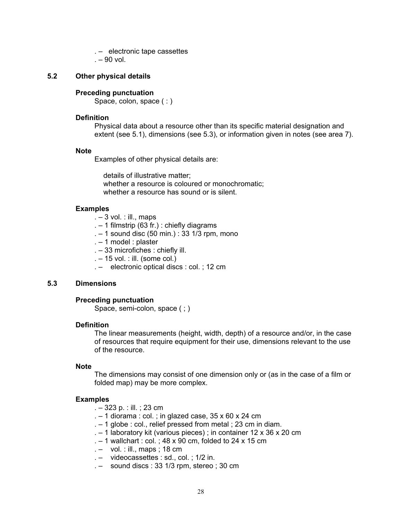. – electronic tape cassettes

. – 90 vol.

# <span id="page-27-0"></span>**5.2 Other physical details**

# **Preceding punctuation**

Space, colon, space (:)

# **Definition**

Physical data about a resource other than its specific material designation and extent (see 5.1), dimensions (see 5.3), or information given in notes (see area 7).

# **Note**

Examples of other physical details are:

details of illustrative matter; whether a resource is coloured or monochromatic; whether a resource has sound or is silent.

# **Examples**

- $. 3$  vol. : ill., maps
- . 1 filmstrip (63 fr.) : chiefly diagrams
- . 1 sound disc (50 min.) : 33 1/3 rpm, mono
- . 1 model : plaster
- . 33 microfiches : chiefly ill.
- $. 15$  vol. : ill. (some col.)
- . electronic optical discs : col. ; 12 cm

# **5.3 Dimensions**

# **Preceding punctuation**

Space, semi-colon, space ( ; )

# **Definition**

The linear measurements (height, width, depth) of a resource and/or, in the case of resources that require equipment for their use, dimensions relevant to the use of the resource.

# **Note**

The dimensions may consist of one dimension only or (as in the case of a film or folded map) may be more complex.

# **Examples**

- . 323 p. : ill. ; 23 cm
- $-1$  diorama : col. ; in glazed case, 35 x 60 x 24 cm
- . 1 globe : col., relief pressed from metal ; 23 cm in diam.
- . 1 laboratory kit (various pieces) ; in container 12 x 36 x 20 cm
- $. 1$  wallchart : col. ; 48 x 90 cm, folded to 24 x 15 cm
- $. -$  vol. : ill., maps ; 18 cm
- . videocassettes : sd., col. ; 1/2 in.
- $. -$  sound discs : 33 1/3 rpm, stereo ; 30 cm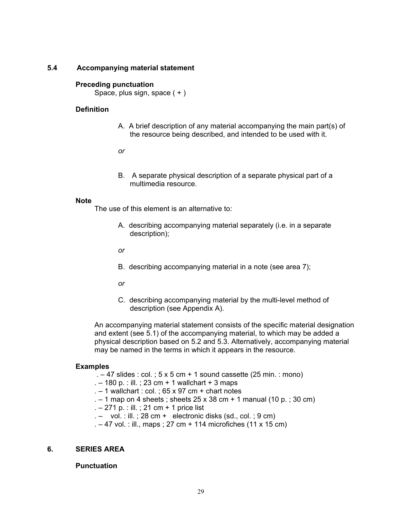# <span id="page-28-0"></span>**5.4 Accompanying material statement**

#### **Preceding punctuation**

Space, plus sign, space ( + )

# **Definition**

- A. A brief description of any material accompanying the main part(s) of the resource being described, and intended to be used with it.
- *or*
- B. A separate physical description of a separate physical part of a multimedia resource.

#### **Note**

The use of this element is an alternative to:

A. describing accompanying material separately (i.e. in a separate description);

*or* 

B. describing accompanying material in a note (see area 7);

*or* 

C. describing accompanying material by the multi-level method of description (see Appendix A).

An accompanying material statement consists of the specific material designation and extent (see 5.1) of the accompanying material, to which may be added a physical description based on 5.2 and 5.3. Alternatively, accompanying material may be named in the terms in which it appears in the resource.

# **Examples**

- $-47$  slides : col. ;  $5 \times 5$  cm + 1 sound cassette (25 min. : mono)
- .  $-$  180 p. : ill. ; 23 cm + 1 wallchart + 3 maps
- $. 1$  wallchart : col. ; 65 x 97 cm + chart notes
- $-1$  map on 4 sheets; sheets 25 x 38 cm + 1 manual (10 p.; 30 cm)
- . 271 p. : ill. ; 21 cm + 1 price list
- $. -$  vol. : ill. ; 28 cm + electronic disks (sd., col. ; 9 cm)
- . 47 vol. : ill., maps ; 27 cm + 114 microfiches (11 x 15 cm)

# **6. SERIES AREA**

# **Punctuation**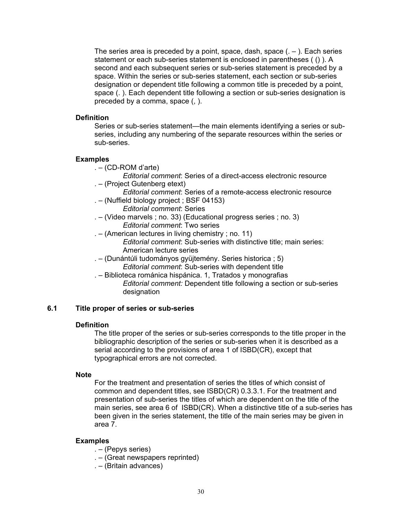<span id="page-29-1"></span><span id="page-29-0"></span>The series area is preceded by a point, space, dash, space  $(1, -1)$ . Each series statement or each sub-series statement is enclosed in parentheses ( () ). A second and each subsequent series or sub-series statement is preceded by a space. Within the series or sub-series statement, each section or sub-series designation or dependent title following a common title is preceded by a point, space (. ). Each dependent title following a section or sub-series designation is preceded by a comma, space (, ).

# **Definition**

Series or sub-series statement—the main elements identifying a series or subseries, including any numbering of the separate resources within the series or sub-series.

# **Examples**

- . (CD-ROM d'arte)
- *Editorial comment*: Series of a direct-access electronic resource . – (Project Gutenberg etext)
	- *Editorial comment*: Series of a remote-access electronic resource
- . (Nuffield biology project ; BSF 04153)  *Editorial comment*: Series
- . (Video marvels ; no. 33) (Educational progress series ; no. 3)  *Editorial comment*: Two series
- . (American lectures in living chemistry ; no. 11)  *Editorial comment*: Sub-series with distinctive title; main series:
	- American lecture series
- . (Dunántúli tudományos gyüjtemény. Series historica ; 5)  *Editorial comment*: Sub-series with dependent title
- . Biblioteca románica hispánica. 1, Tratados y monografias *Editorial comment:* Dependent title following a section or sub-series designation

# **6.1 Title proper of series or sub-series**

# **Definition**

The title proper of the series or sub-series corresponds to the title proper in the bibliographic description of the series or sub-series when it is described as a serial according to the provisions of area 1 of ISBD(CR), except that typographical errors are not corrected.

# **Note**

For the treatment and presentation of series the titles of which consist of common and dependent titles, see ISBD(CR) 0.3.3.1. For the treatment and presentation of sub-series the titles of which are dependent on the title of the main series, see area 6 of ISBD(CR). When a distinctive title of a sub-series has been given in the series statement, the title of the main series may be given in area 7.

# **Examples**

- . (Pepys series)
- . (Great newspapers reprinted)
- . (Britain advances)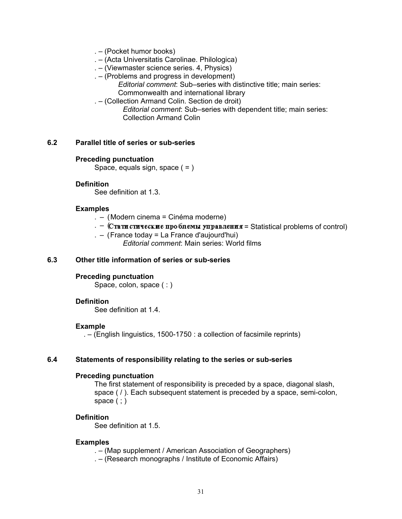- <span id="page-30-0"></span>. – (Pocket humor books)
- . (Acta Universitatis Carolinae. Philologica)
- . (Viewmaster science series. 4, Physics)
- . (Problems and progress in development)

*Editorial comment*: Sub–series with distinctive title; main series: Commonwealth and international library

. – (Collection Armand Colin. Section de droit)

 *Editorial comment*: Sub–series with dependent title; main series: Collection Armand Colin

### **6.2 Parallel title of series or sub-series**

#### **Preceding punctuation**

Space, equals sign, space  $( = )$ 

# **Definition**

See definition at 1.3.

### **Examples**

- . (Modern cinema = Cinéma moderne)
- $\mathcal{L}$  (Стати стические проблемы управления = Statistical problems of control)
- . (France today = La France d'aujourd'hui)

*Editorial comment*: Main series: World films

# **6.3 Other title information of series or sub-series**

#### **Preceding punctuation**

Space, colon, space (: )

#### **Definition**

See definition at 1.4.

#### **Example**

. – (English linguistics, 1500-1750 : a collection of facsimile reprints)

# **6.4 Statements of responsibility relating to the series or sub-series**

# **Preceding punctuation**

The first statement of responsibility is preceded by a space, diagonal slash, space ( / ). Each subsequent statement is preceded by a space, semi-colon, space  $( ; )$ 

#### **Definition**

See definition at 1.5.

#### **Examples**

. – (Map supplement / American Association of Geographers)

. – (Research monographs / Institute of Economic Affairs)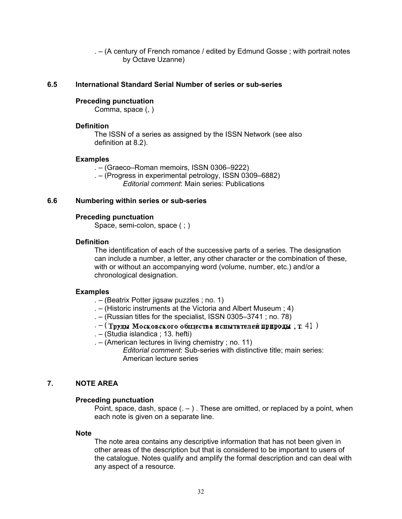. – (A century of French romance / edited by Edmund Gosse ; with portrait notes by Octave Uzanne)

# <span id="page-31-1"></span><span id="page-31-0"></span>**6.5 International Standard Serial Number of series or sub-series**

#### **Preceding punctuation**

Comma, space (, )

### **Definition**

The ISSN of a series as assigned by the ISSN Network (see also definition at 8.2).

#### **Examples**

. – (Graeco–Roman memoirs, ISSN 0306–9222)

. – (Progress in experimental petrology, ISSN 0309–6882) *Editorial comment*: Main series: Publications

# **6.6 Numbering within series or sub-series**

# **Preceding punctuation**

Space, semi-colon, space ( ; )

# **Definition**

The identification of each of the successive parts of a series. The designation can include a number, a letter, any other character or the combination of these, with or without an accompanying word (volume, number, etc.) and/or a chronological designation.

#### **Examples**

- . (Beatrix Potter jigsaw puzzles ; no. 1)
- . (Historic instruments at the Victoria and Albert Museum ; 4)
- . (Russian titles for the specialist, ISSN 0305–3741 ; no. 78)
- $-$  (Трупы Московского общества испытателей природы ; т. 41)
- . (Studia islandica ; 13. hefti)
- . (American lectures in living chemistry ; no. 11)

 *Editorial comment*: Sub-series with distinctive title; main series: American lecture series

# **7. NOTE AREA**

### **Preceding punctuation**

Point, space, dash, space  $(.-)$ . These are omitted, or replaced by a point, when each note is given on a separate line.

### **Note**

The note area contains any descriptive information that has not been given in other areas of the description but that is considered to be important to users of the catalogue. Notes qualify and amplify the formal description and can deal with any aspect of a resource.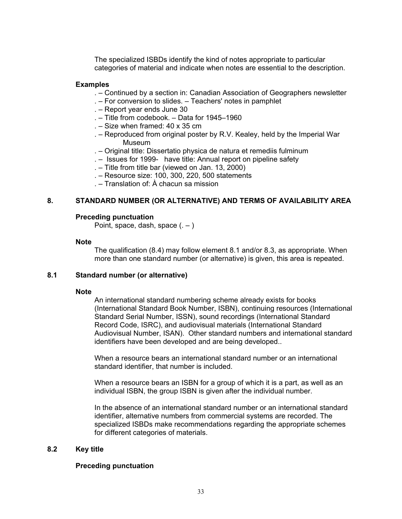<span id="page-32-1"></span><span id="page-32-0"></span>The specialized ISBDs identify the kind of notes appropriate to particular categories of material and indicate when notes are essential to the description.

#### **Examples**

- . Continued by a section in: Canadian Association of Geographers newsletter
- . For conversion to slides. Teachers' notes in pamphlet
- . Report year ends June 30
- . Title from codebook. Data for 1945–1960
- . Size when framed: 40 x 35 cm
- . Reproduced from original poster by R.V. Kealey, held by the Imperial War Museum
- . Original title: Dissertatio physica de natura et remediis fulminum
- . Issues for 1999- have title: Annual report on pipeline safety
- . Title from title bar (viewed on Jan. 13, 2000)
- . Resource size: 100, 300, 220, 500 statements
- . Translation of: À chacun sa mission

# **8. STANDARD NUMBER (OR ALTERNATIVE) AND TERMS OF AVAILABILITY AREA**

# **Preceding punctuation**

Point, space, dash, space  $(.-)$ 

#### **Note**

The qualification (8.4) may follow element 8.1 and/or 8.3, as appropriate. When more than one standard number (or alternative) is given, this area is repeated.

#### **8.1 Standard number (or alternative)**

#### **Note**

An international standard numbering scheme already exists for books (International Standard Book Number, ISBN), continuing resources (International Standard Serial Number, ISSN), sound recordings (International Standard Record Code, ISRC), and audiovisual materials (International Standard Audiovisual Number, ISAN). Other standard numbers and international standard identifiers have been developed and are being developed..

When a resource bears an international standard number or an international standard identifier, that number is included.

When a resource bears an ISBN for a group of which it is a part, as well as an individual ISBN, the group ISBN is given after the individual number.

In the absence of an international standard number or an international standard identifier, alternative numbers from commercial systems are recorded. The specialized ISBDs make recommendations regarding the appropriate schemes for different categories of materials.

### **8.2 Key title**

### **Preceding punctuation**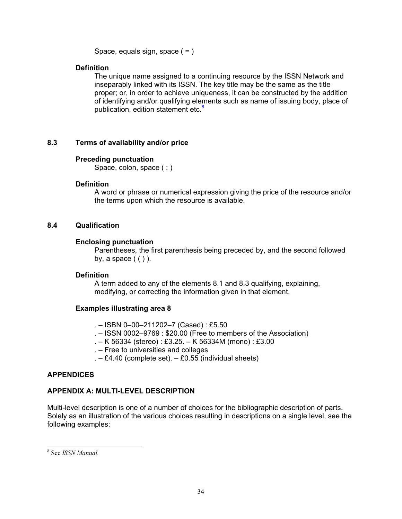Space, equals sign, space ( = )

# <span id="page-33-1"></span><span id="page-33-0"></span> **Definition**

The unique name assigned to a continuing resource by the ISSN Network and inseparably linked with its ISSN. The key title may be the same as the title proper; or, in order to achieve uniqueness, it can be constructed by the addition of identifying and/or qualifying elements such as name of issuing body, place of publication, edition statement etc.<sup>8</sup>

# **8.3 Terms of availability and/or price**

# **Preceding punctuation**

Space, colon, space ( : )

# **Definition**

A word or phrase or numerical expression giving the price of the resource and/or the terms upon which the resource is available.

# **8.4 Qualification**

# **Enclosing punctuation**

Parentheses, the first parenthesis being preceded by, and the second followed by, a space  $( ()$  ).

# **Definition**

A term added to any of the elements 8.1 and 8.3 qualifying, explaining, modifying, or correcting the information given in that element.

# **Examples illustrating area 8**

- . ISBN 0–00–211202–7 (Cased) : £5.50
- . ISSN 0002–9769 : \$20.00 (Free to members of the Association)
- . K 56334 (stereo) : £3.25. K 56334M (mono) : £3.00
- . Free to universities and colleges
- $-E4.40$  (complete set).  $-E0.55$  (individual sheets)

# **APPENDICES**

# **APPENDIX A: MULTI-LEVEL DESCRIPTION**

Multi-level description is one of a number of choices for the bibliographic description of parts. Solely as an illustration of the various choices resulting in descriptions on a single level, see the following examples:

 <sup>8</sup> See *ISSN Manual.*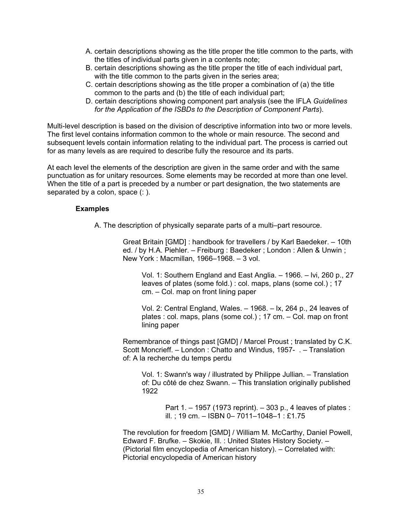- A. certain descriptions showing as the title proper the title common to the parts, with the titles of individual parts given in a contents note;
- B. certain descriptions showing as the title proper the title of each individual part, with the title common to the parts given in the series area;
- C. certain descriptions showing as the title proper a combination of (a) the title common to the parts and (b) the title of each individual part;
- D. certain descriptions showing component part analysis (see the IFLA *Guidelines for the Application of the ISBDs to the Description of Component Parts*).

Multi-level description is based on the division of descriptive information into two or more levels. The first level contains information common to the whole or main resource. The second and subsequent levels contain information relating to the individual part. The process is carried out for as many levels as are required to describe fully the resource and its parts.

At each level the elements of the description are given in the same order and with the same punctuation as for unitary resources. Some elements may be recorded at more than one level. When the title of a part is preceded by a number or part designation, the two statements are separated by a colon, space (: ).

# **Examples**

A. The description of physically separate parts of a multi–part resource.

Great Britain [GMD] : handbook for travellers / by Karl Baedeker. – 10th ed. / by H.A. Piehler. – Freiburg : Baedeker ; London : Allen & Unwin ; New York : Macmillan, 1966–1968. – 3 vol.

Vol. 1: Southern England and East Anglia. – 1966. – lvi, 260 p., 27 leaves of plates (some fold.) : col. maps, plans (some col.) ; 17 cm. – Col. map on front lining paper

Vol. 2: Central England, Wales. – 1968. – lx, 264 p., 24 leaves of plates : col. maps, plans (some col.) ; 17 cm. – Col. map on front lining paper

Remembrance of things past [GMD] / Marcel Proust ; translated by C.K. Scott Moncrieff. – London : Chatto and Windus, 1957- . – Translation of: A la recherche du temps perdu

Vol. 1: Swann's way / illustrated by Philippe Jullian. – Translation of: Du côté de chez Swann. – This translation originally published 1922

> Part 1. – 1957 (1973 reprint). – 303 p., 4 leaves of plates : ill. ; 19 cm. – ISBN 0– 7011–1048–1 : £1.75

The revolution for freedom [GMD] / William M. McCarthy, Daniel Powell, Edward F. Brufke. – Skokie, Ill. : United States History Society. – (Pictorial film encyclopedia of American history). – Correlated with: Pictorial encyclopedia of American history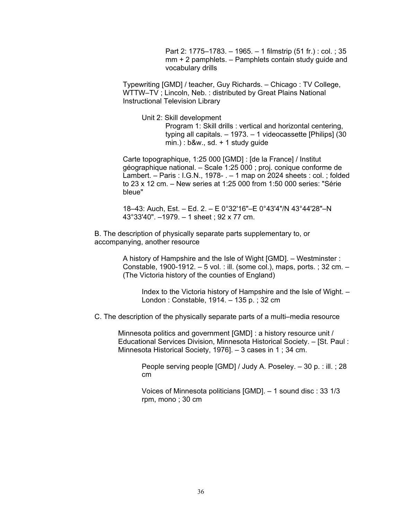Part 2: 1775–1783. – 1965. – 1 filmstrip (51 fr.) : col. ; 35 mm + 2 pamphlets. – Pamphlets contain study guide and vocabulary drills

Typewriting [GMD] / teacher, Guy Richards. – Chicago : TV College, WTTW–TV ; Lincoln, Neb. : distributed by Great Plains National Instructional Television Library

Unit 2: Skill development

Program 1: Skill drills : vertical and horizontal centering, typing all capitals. – 1973. – 1 videocassette [Philips] (30  $min.$ ) :  $b$ &w., sd. + 1 study guide

Carte topographique, 1:25 000 [GMD] : [de la France] / Institut géographique national. – Scale 1:25 000 ; proj. conique conforme de Lambert. – Paris : I.G.N., 1978- . – 1 map on 2024 sheets : col. ; folded to 23 x 12 cm. – New series at 1:25 000 from 1:50 000 series: "Série bleue"

18–43: Auch, Est. – Ed. 2. – E 0°32'16"–E 0°43'4"/N 43°44'28"–N 43°33'40". –1979. – 1 sheet ; 92 x 77 cm.

B. The description of physically separate parts supplementary to, or accompanying, another resource

> A history of Hampshire and the Isle of Wight [GMD]. – Westminster : Constable, 1900-1912. – 5 vol. : ill. (some col.), maps, ports. ; 32 cm. – (The Victoria history of the counties of England)

Index to the Victoria history of Hampshire and the Isle of Wight. – London : Constable, 1914. – 135 p. ; 32 cm

C. The description of the physically separate parts of a multi–media resource

Minnesota politics and government [GMD] : a history resource unit / Educational Services Division, Minnesota Historical Society. – [St. Paul : Minnesota Historical Society, 1976]. – 3 cases in 1 ; 34 cm.

> People serving people [GMD] / Judy A. Poseley. - 30 p. : ill. ; 28 cm

Voices of Minnesota politicians [GMD]. – 1 sound disc : 33 1/3 rpm, mono ; 30 cm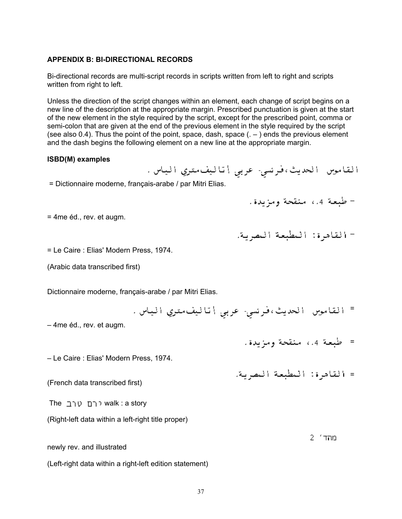### <span id="page-36-1"></span><span id="page-36-0"></span>**APPENDIX B: BI-DIRECTIONAL RECORDS**

Bi-directional records are multi-script records in scripts written from left to right and scripts written from right to left.

Unless the direction of the script changes within an element, each change of script begins on a new line of the description at the appropriate margin. Prescribed punctuation is given at the start of the new element in the style required by the script, except for the prescribed point, comma or semi-colon that are given at the end of the previous element in the style required by the script (see also 0.4). Thus the point of the point, space, dash, space  $($ .  $-$ ) ends the previous element and the dash begins the following element on a new line at the appropriate margin.

#### **ISBD(M) examples**

الـقاموس الحديث،فرنسي- عربي إتـالـيفمـتـري الـيـاس.

= Dictionnaire moderne, français-arabe / par Mitri Elias.

– طبعة 4.4 منقحة ومزيدة.

– القادرة: المطلعة المصرية.

= 4me éd., rev. et augm.

= Le Caire : Elias' Modern Press, 1974.

(Arabic data transcribed first)

Dictionnaire moderne, français-arabe / par Mitri Elias.

- = القاموس الحديث،فرنسي- عربي |تاليف،تري الياس.
- 4me éd., rev. et augm.

= طبعة 4.4 منقحة ومزيدة.

– Le Caire : Elias' Modern Press, 1974.

= القامرة: المطبعة النصرية.

(French data transcribed first)

The ירם טוב walk : a story

(Right-left data within a left-right title proper)

-מהד' 2

newly rev. and illustrated

(Left-right data within a right-left edition statement)